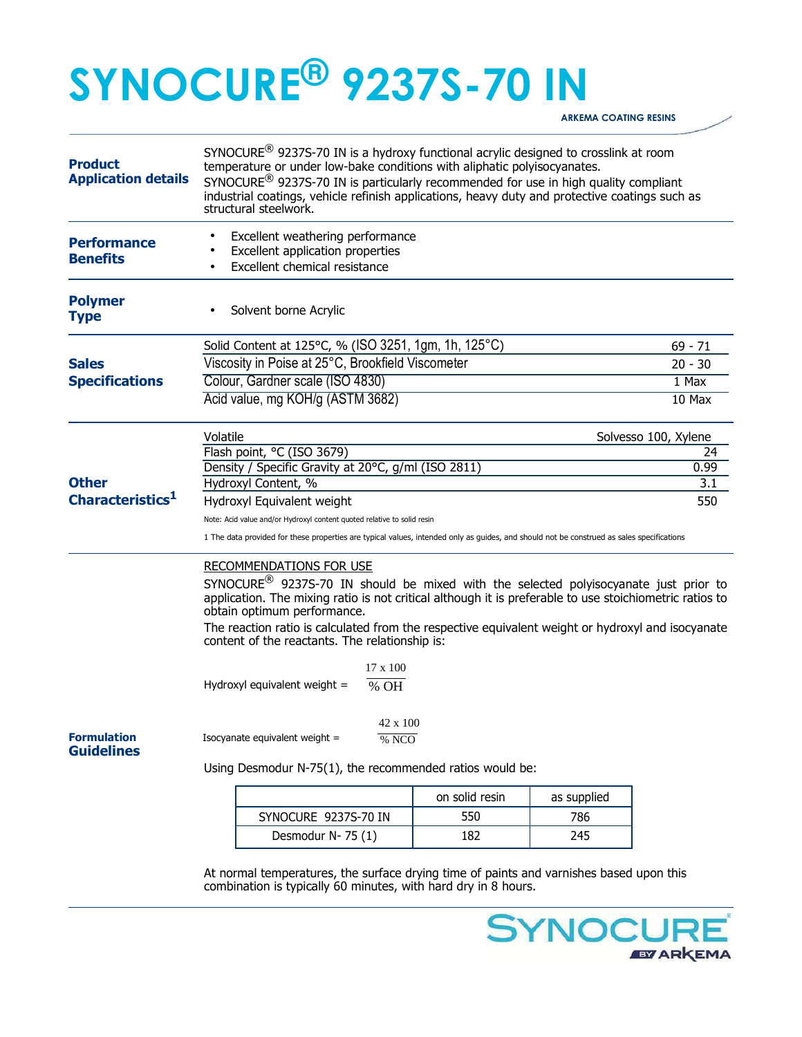## **SYNOCURE® 9237S-70 IN**

**ARKEMA COATING RESINS** 

| <b>Product</b><br><b>Application details</b>                                                                                     | SYNOCURE <sup>®</sup> 9237S-70 IN is a hydroxy functional acrylic designed to crosslink at room<br>temperature or under low-bake conditions with aliphatic polyisocyanates.<br>SYNOCURE <sup>®</sup> 9237S-70 IN is particularly recommended for use in high quality compliant<br>industrial coatings, vehicle refinish applications, heavy duty and protective coatings such as<br>structural steelwork. |                                                                                                                                                           |                |             |             |  |
|----------------------------------------------------------------------------------------------------------------------------------|-----------------------------------------------------------------------------------------------------------------------------------------------------------------------------------------------------------------------------------------------------------------------------------------------------------------------------------------------------------------------------------------------------------|-----------------------------------------------------------------------------------------------------------------------------------------------------------|----------------|-------------|-------------|--|
| <b>Performance</b><br><b>Benefits</b>                                                                                            | Excellent weathering performance<br>Excellent application properties<br>Excellent chemical resistance                                                                                                                                                                                                                                                                                                     |                                                                                                                                                           |                |             |             |  |
| <b>Polymer</b><br><b>Type</b>                                                                                                    |                                                                                                                                                                                                                                                                                                                                                                                                           | Solvent borne Acrylic                                                                                                                                     |                |             |             |  |
|                                                                                                                                  |                                                                                                                                                                                                                                                                                                                                                                                                           | Solid Content at 125°C, % (ISO 3251, 1gm, 1h, 125°C)                                                                                                      |                |             | $69 - 71$   |  |
| <b>Sales</b><br><b>Specifications</b><br><b>Other</b><br>Characteristics <sup>1</sup><br><b>Formulation</b><br><b>Guidelines</b> | Viscosity in Poise at 25°C, Brookfield Viscometer                                                                                                                                                                                                                                                                                                                                                         |                                                                                                                                                           |                |             | $20 - 30$   |  |
|                                                                                                                                  | Colour, Gardner scale (ISO 4830)                                                                                                                                                                                                                                                                                                                                                                          |                                                                                                                                                           |                |             | 1 Max       |  |
|                                                                                                                                  | Acid value, mg KOH/g (ASTM 3682)                                                                                                                                                                                                                                                                                                                                                                          |                                                                                                                                                           |                |             | 10 Max      |  |
|                                                                                                                                  | Volatile<br>Solvesso 100, Xylene                                                                                                                                                                                                                                                                                                                                                                          |                                                                                                                                                           |                |             |             |  |
|                                                                                                                                  | Flash point, °C (ISO 3679)                                                                                                                                                                                                                                                                                                                                                                                |                                                                                                                                                           |                |             | 24          |  |
|                                                                                                                                  | Density / Specific Gravity at 20°C, g/ml (ISO 2811)                                                                                                                                                                                                                                                                                                                                                       |                                                                                                                                                           |                |             | 0.99<br>3.1 |  |
|                                                                                                                                  | Hydroxyl Content, %                                                                                                                                                                                                                                                                                                                                                                                       |                                                                                                                                                           |                |             |             |  |
|                                                                                                                                  | Hydroxyl Equivalent weight<br>550                                                                                                                                                                                                                                                                                                                                                                         |                                                                                                                                                           |                |             |             |  |
|                                                                                                                                  | Note: Acid value and/or Hydroxyl content quoted relative to solid resin                                                                                                                                                                                                                                                                                                                                   |                                                                                                                                                           |                |             |             |  |
|                                                                                                                                  | 1 The data provided for these properties are typical values, intended only as guides, and should not be construed as sales specifications                                                                                                                                                                                                                                                                 |                                                                                                                                                           |                |             |             |  |
|                                                                                                                                  | <b>RECOMMENDATIONS FOR USE</b>                                                                                                                                                                                                                                                                                                                                                                            |                                                                                                                                                           |                |             |             |  |
|                                                                                                                                  | SYNOCURE <sup>®</sup> 9237S-70 IN should be mixed with the selected polyisocyanate just prior to<br>application. The mixing ratio is not critical although it is preferable to use stoichiometric ratios to<br>obtain optimum performance.                                                                                                                                                                |                                                                                                                                                           |                |             |             |  |
|                                                                                                                                  | The reaction ratio is calculated from the respective equivalent weight or hydroxyl and isocyanate<br>content of the reactants. The relationship is:                                                                                                                                                                                                                                                       |                                                                                                                                                           |                |             |             |  |
|                                                                                                                                  |                                                                                                                                                                                                                                                                                                                                                                                                           | $17 \times 100$                                                                                                                                           |                |             |             |  |
|                                                                                                                                  | Hydroxyl equivalent weight =<br>% OH                                                                                                                                                                                                                                                                                                                                                                      |                                                                                                                                                           |                |             |             |  |
|                                                                                                                                  |                                                                                                                                                                                                                                                                                                                                                                                                           | $42 \times 100$                                                                                                                                           |                |             |             |  |
|                                                                                                                                  | Isocyanate equivalent weight =<br>% NCO                                                                                                                                                                                                                                                                                                                                                                   |                                                                                                                                                           |                |             |             |  |
|                                                                                                                                  | Using Desmodur N-75(1), the recommended ratios would be:                                                                                                                                                                                                                                                                                                                                                  |                                                                                                                                                           |                |             |             |  |
|                                                                                                                                  |                                                                                                                                                                                                                                                                                                                                                                                                           |                                                                                                                                                           | on solid resin | as supplied |             |  |
|                                                                                                                                  |                                                                                                                                                                                                                                                                                                                                                                                                           | SYNOCURE 9237S-70 IN                                                                                                                                      | 550            | 786         |             |  |
|                                                                                                                                  |                                                                                                                                                                                                                                                                                                                                                                                                           | Desmodur N-75 (1)                                                                                                                                         | 182            | 245         |             |  |
|                                                                                                                                  |                                                                                                                                                                                                                                                                                                                                                                                                           |                                                                                                                                                           |                |             |             |  |
|                                                                                                                                  |                                                                                                                                                                                                                                                                                                                                                                                                           | At normal temperatures, the surface drying time of paints and varnishes based upon this<br>combination is typically 60 minutes, with hard dry in 8 hours. |                |             |             |  |